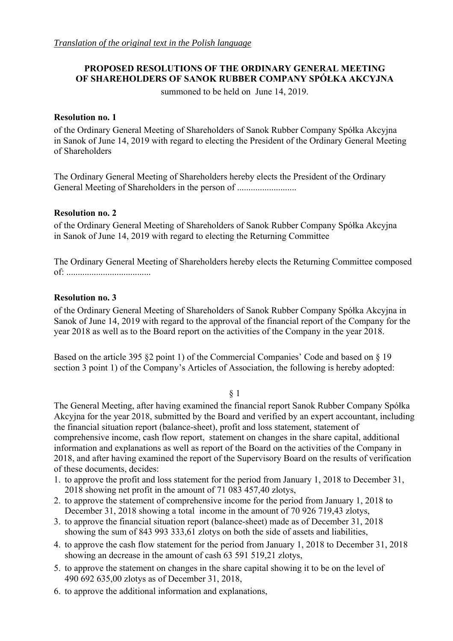# **PROPOSED RESOLUTIONS OF THE ORDINARY GENERAL MEETING OF SHAREHOLDERS OF SANOK RUBBER COMPANY SPÓŁKA AKCYJNA**

summoned to be held on June 14, 2019.

## **Resolution no. 1**

of the Ordinary General Meeting of Shareholders of Sanok Rubber Company Spółka Akcyjna in Sanok of June 14, 2019 with regard to electing the President of the Ordinary General Meeting of Shareholders

The Ordinary General Meeting of Shareholders hereby elects the President of the Ordinary General Meeting of Shareholders in the person of ................................

## **Resolution no. 2**

of the Ordinary General Meeting of Shareholders of Sanok Rubber Company Spółka Akcyjna in Sanok of June 14, 2019 with regard to electing the Returning Committee

The Ordinary General Meeting of Shareholders hereby elects the Returning Committee composed of: .....................................

## **Resolution no. 3**

of the Ordinary General Meeting of Shareholders of Sanok Rubber Company Spółka Akcyjna in Sanok of June 14, 2019 with regard to the approval of the financial report of the Company for the year 2018 as well as to the Board report on the activities of the Company in the year 2018.

Based on the article 395 §2 point 1) of the Commercial Companies' Code and based on § 19 section 3 point 1) of the Company's Articles of Association, the following is hereby adopted:

## § 1

The General Meeting, after having examined the financial report Sanok Rubber Company Spółka Akcyjna for the year 2018, submitted by the Board and verified by an expert accountant, including the financial situation report (balance-sheet), profit and loss statement, statement of comprehensive income, cash flow report, statement on changes in the share capital, additional information and explanations as well as report of the Board on the activities of the Company in 2018, and after having examined the report of the Supervisory Board on the results of verification of these documents, decides:

- 1. to approve the profit and loss statement for the period from January 1, 2018 to December 31, 2018 showing net profit in the amount of 71 083 457,40 zlotys,
- 2. to approve the statement of comprehensive income for the period from January 1, 2018 to December 31, 2018 showing a total income in the amount of 70 926 719,43 zlotys,
- 3. to approve the financial situation report (balance-sheet) made as of December 31, 2018 showing the sum of 843 993 333,61 zlotys on both the side of assets and liabilities,
- 4. to approve the cash flow statement for the period from January 1, 2018 to December 31, 2018 showing an decrease in the amount of cash 63 591 519,21 zlotys,
- 5. to approve the statement on changes in the share capital showing it to be on the level of 490 692 635,00 zlotys as of December 31, 2018,
- 6. to approve the additional information and explanations,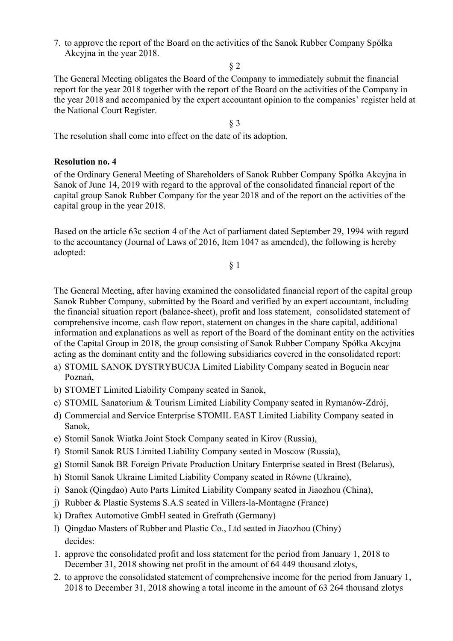7. to approve the report of the Board on the activities of the Sanok Rubber Company Spółka Akcyjna in the year 2018.

§ 2

The General Meeting obligates the Board of the Company to immediately submit the financial report for the year 2018 together with the report of the Board on the activities of the Company in the year 2018 and accompanied by the expert accountant opinion to the companies' register held at the National Court Register.

§ 3

The resolution shall come into effect on the date of its adoption.

## **Resolution no. 4**

of the Ordinary General Meeting of Shareholders of Sanok Rubber Company Spółka Akcyjna in Sanok of June 14, 2019 with regard to the approval of the consolidated financial report of the capital group Sanok Rubber Company for the year 2018 and of the report on the activities of the capital group in the year 2018.

Based on the article 63c section 4 of the Act of parliament dated September 29, 1994 with regard to the accountancy (Journal of Laws of 2016, Item 1047 as amended), the following is hereby adopted:

§ 1

The General Meeting, after having examined the consolidated financial report of the capital group Sanok Rubber Company, submitted by the Board and verified by an expert accountant, including the financial situation report (balance-sheet), profit and loss statement, consolidated statement of comprehensive income, cash flow report, statement on changes in the share capital, additional information and explanations as well as report of the Board of the dominant entity on the activities of the Capital Group in 2018, the group consisting of Sanok Rubber Company Spółka Akcyjna acting as the dominant entity and the following subsidiaries covered in the consolidated report:

- a) STOMIL SANOK DYSTRYBUCJA Limited Liability Company seated in Bogucin near Poznań,
- b) STOMET Limited Liability Company seated in Sanok,
- c) STOMIL Sanatorium & Tourism Limited Liability Company seated in Rymanów-Zdrój,
- d) Commercial and Service Enterprise STOMIL EAST Limited Liability Company seated in Sanok,
- e) Stomil Sanok Wiatka Joint Stock Company seated in Kirov (Russia),
- f) Stomil Sanok RUS Limited Liability Company seated in Moscow (Russia),
- g) Stomil Sanok BR Foreign Private Production Unitary Enterprise seated in Brest (Belarus),
- h) Stomil Sanok Ukraine Limited Liability Company seated in Równe (Ukraine),
- i) Sanok (Qingdao) Auto Parts Limited Liability Company seated in Jiaozhou (China),
- j) Rubber & Plastic Systems S.A.S seated in Villers-la-Montagne (France)
- k) Draftex Automotive GmbH seated in Grefrath (Germany)
- l) Qingdao Masters of Rubber and Plastic Co., Ltd seated in Jiaozhou (Chiny) decides:
- 1. approve the consolidated profit and loss statement for the period from January 1, 2018 to December 31, 2018 showing net profit in the amount of 64 449 thousand zlotys,
- 2. to approve the consolidated statement of comprehensive income for the period from January 1, 2018 to December 31, 2018 showing a total income in the amount of 63 264 thousand zlotys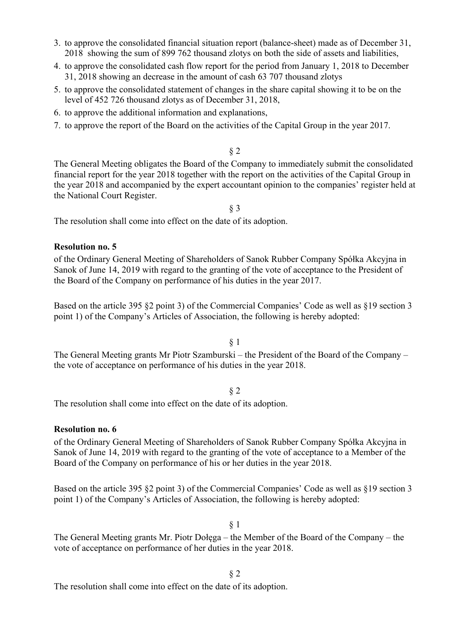- 3. to approve the consolidated financial situation report (balance-sheet) made as of December 31, 2018 showing the sum of 899 762 thousand zlotys on both the side of assets and liabilities,
- 4. to approve the consolidated cash flow report for the period from January 1, 2018 to December 31, 2018 showing an decrease in the amount of cash 63 707 thousand zlotys
- 5. to approve the consolidated statement of changes in the share capital showing it to be on the level of 452 726 thousand zlotys as of December 31, 2018,
- 6. to approve the additional information and explanations,
- 7. to approve the report of the Board on the activities of the Capital Group in the year 2017.

### § 2

The General Meeting obligates the Board of the Company to immediately submit the consolidated financial report for the year 2018 together with the report on the activities of the Capital Group in the year 2018 and accompanied by the expert accountant opinion to the companies' register held at the National Court Register.

§ 3

The resolution shall come into effect on the date of its adoption.

## **Resolution no. 5**

of the Ordinary General Meeting of Shareholders of Sanok Rubber Company Spółka Akcyjna in Sanok of June 14, 2019 with regard to the granting of the vote of acceptance to the President of the Board of the Company on performance of his duties in the year 2017.

Based on the article 395 §2 point 3) of the Commercial Companies' Code as well as §19 section 3 point 1) of the Company's Articles of Association, the following is hereby adopted:

§ 1

The General Meeting grants Mr Piotr Szamburski – the President of the Board of the Company – the vote of acceptance on performance of his duties in the year 2018.

#### § 2

The resolution shall come into effect on the date of its adoption.

#### **Resolution no. 6**

of the Ordinary General Meeting of Shareholders of Sanok Rubber Company Spółka Akcyjna in Sanok of June 14, 2019 with regard to the granting of the vote of acceptance to a Member of the Board of the Company on performance of his or her duties in the year 2018.

Based on the article 395 §2 point 3) of the Commercial Companies' Code as well as §19 section 3 point 1) of the Company's Articles of Association, the following is hereby adopted:

#### § 1

The General Meeting grants Mr. Piotr Dołęga – the Member of the Board of the Company – the vote of acceptance on performance of her duties in the year 2018.

§ 2

The resolution shall come into effect on the date of its adoption.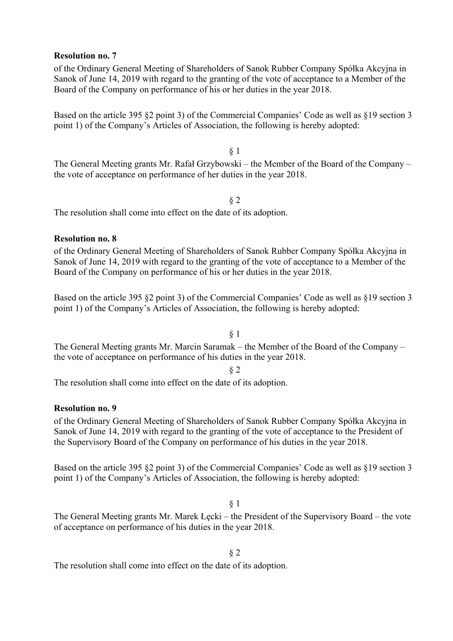## **Resolution no. 7**

of the Ordinary General Meeting of Shareholders of Sanok Rubber Company Spółka Akcyjna in Sanok of June 14, 2019 with regard to the granting of the vote of acceptance to a Member of the Board of the Company on performance of his or her duties in the year 2018.

Based on the article 395 §2 point 3) of the Commercial Companies' Code as well as §19 section 3 point 1) of the Company's Articles of Association, the following is hereby adopted:

§ 1 The General Meeting grants Mr. Rafał Grzybowski – the Member of the Board of the Company – the vote of acceptance on performance of her duties in the year 2018.

### § 2

The resolution shall come into effect on the date of its adoption.

## **Resolution no. 8**

of the Ordinary General Meeting of Shareholders of Sanok Rubber Company Spółka Akcyjna in Sanok of June 14, 2019 with regard to the granting of the vote of acceptance to a Member of the Board of the Company on performance of his or her duties in the year 2018.

Based on the article 395 §2 point 3) of the Commercial Companies' Code as well as §19 section 3 point 1) of the Company's Articles of Association, the following is hereby adopted:

## § 1

The General Meeting grants Mr. Marcin Saramak – the Member of the Board of the Company – the vote of acceptance on performance of his duties in the year 2018.

## § 2

The resolution shall come into effect on the date of its adoption.

## **Resolution no. 9**

of the Ordinary General Meeting of Shareholders of Sanok Rubber Company Spółka Akcyjna in Sanok of June 14, 2019 with regard to the granting of the vote of acceptance to the President of the Supervisory Board of the Company on performance of his duties in the year 2018.

Based on the article 395 §2 point 3) of the Commercial Companies' Code as well as §19 section 3 point 1) of the Company's Articles of Association, the following is hereby adopted:

## § 1

The General Meeting grants Mr. Marek Łęcki – the President of the Supervisory Board – the vote of acceptance on performance of his duties in the year 2018.

# § 2

The resolution shall come into effect on the date of its adoption.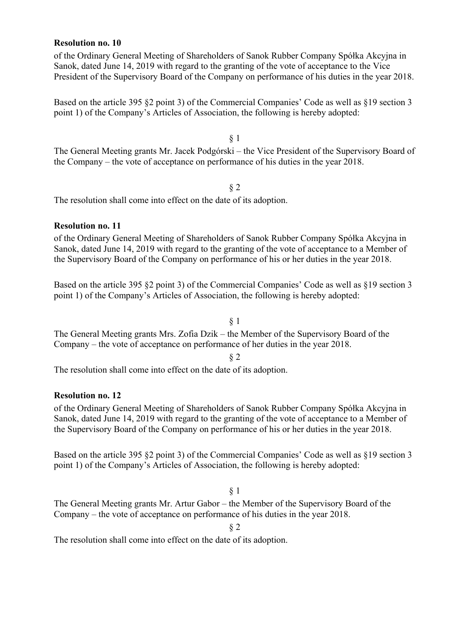### **Resolution no. 10**

of the Ordinary General Meeting of Shareholders of Sanok Rubber Company Spółka Akcyjna in Sanok, dated June 14, 2019 with regard to the granting of the vote of acceptance to the Vice President of the Supervisory Board of the Company on performance of his duties in the year 2018.

Based on the article 395 §2 point 3) of the Commercial Companies' Code as well as §19 section 3 point 1) of the Company's Articles of Association, the following is hereby adopted:

§ 1

The General Meeting grants Mr. Jacek Podgórski – the Vice President of the Supervisory Board of the Company – the vote of acceptance on performance of his duties in the year 2018.

§ 2

The resolution shall come into effect on the date of its adoption.

## **Resolution no. 11**

of the Ordinary General Meeting of Shareholders of Sanok Rubber Company Spółka Akcyjna in Sanok, dated June 14, 2019 with regard to the granting of the vote of acceptance to a Member of the Supervisory Board of the Company on performance of his or her duties in the year 2018.

Based on the article 395 §2 point 3) of the Commercial Companies' Code as well as §19 section 3 point 1) of the Company's Articles of Association, the following is hereby adopted:

## § 1

The General Meeting grants Mrs. Zofia Dzik – the Member of the Supervisory Board of the Company – the vote of acceptance on performance of her duties in the year 2018.

§ 2

The resolution shall come into effect on the date of its adoption.

## **Resolution no. 12**

of the Ordinary General Meeting of Shareholders of Sanok Rubber Company Spółka Akcyjna in Sanok, dated June 14, 2019 with regard to the granting of the vote of acceptance to a Member of the Supervisory Board of the Company on performance of his or her duties in the year 2018.

Based on the article 395 §2 point 3) of the Commercial Companies' Code as well as §19 section 3 point 1) of the Company's Articles of Association, the following is hereby adopted:

## § 1

The General Meeting grants Mr. Artur Gabor – the Member of the Supervisory Board of the Company – the vote of acceptance on performance of his duties in the year 2018.

§ 2

The resolution shall come into effect on the date of its adoption.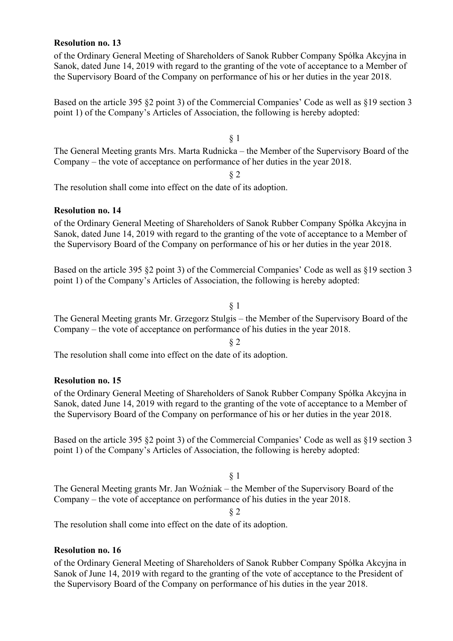## **Resolution no. 13**

of the Ordinary General Meeting of Shareholders of Sanok Rubber Company Spółka Akcyjna in Sanok, dated June 14, 2019 with regard to the granting of the vote of acceptance to a Member of the Supervisory Board of the Company on performance of his or her duties in the year 2018.

Based on the article 395 §2 point 3) of the Commercial Companies' Code as well as §19 section 3 point 1) of the Company's Articles of Association, the following is hereby adopted:

§ 1 The General Meeting grants Mrs. Marta Rudnicka – the Member of the Supervisory Board of the Company – the vote of acceptance on performance of her duties in the year 2018.

§ 2

The resolution shall come into effect on the date of its adoption.

## **Resolution no. 14**

of the Ordinary General Meeting of Shareholders of Sanok Rubber Company Spółka Akcyjna in Sanok, dated June 14, 2019 with regard to the granting of the vote of acceptance to a Member of the Supervisory Board of the Company on performance of his or her duties in the year 2018.

Based on the article 395 §2 point 3) of the Commercial Companies' Code as well as §19 section 3 point 1) of the Company's Articles of Association, the following is hereby adopted:

§ 1

The General Meeting grants Mr. Grzegorz Stulgis – the Member of the Supervisory Board of the Company – the vote of acceptance on performance of his duties in the year 2018.

§ 2

The resolution shall come into effect on the date of its adoption.

# **Resolution no. 15**

of the Ordinary General Meeting of Shareholders of Sanok Rubber Company Spółka Akcyjna in Sanok, dated June 14, 2019 with regard to the granting of the vote of acceptance to a Member of the Supervisory Board of the Company on performance of his or her duties in the year 2018.

Based on the article 395 §2 point 3) of the Commercial Companies' Code as well as §19 section 3 point 1) of the Company's Articles of Association, the following is hereby adopted:

§ 1

The General Meeting grants Mr. Jan Woźniak – the Member of the Supervisory Board of the Company – the vote of acceptance on performance of his duties in the year 2018.

§ 2

The resolution shall come into effect on the date of its adoption.

## **Resolution no. 16**

of the Ordinary General Meeting of Shareholders of Sanok Rubber Company Spółka Akcyjna in Sanok of June 14, 2019 with regard to the granting of the vote of acceptance to the President of the Supervisory Board of the Company on performance of his duties in the year 2018.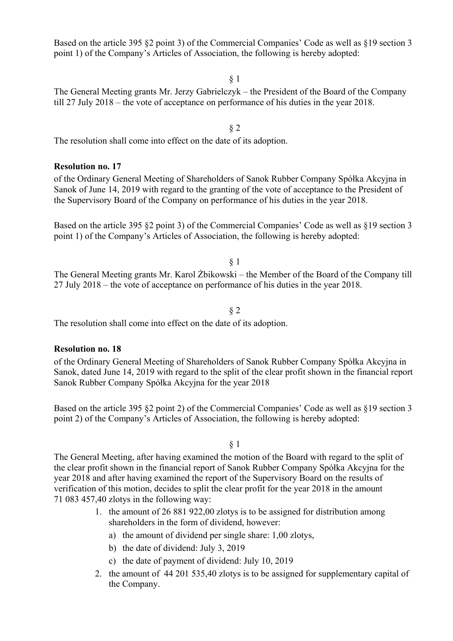Based on the article 395 §2 point 3) of the Commercial Companies' Code as well as §19 section 3 point 1) of the Company's Articles of Association, the following is hereby adopted:

§ 1

The General Meeting grants Mr. Jerzy Gabrielczyk – the President of the Board of the Company till 27 July 2018 – the vote of acceptance on performance of his duties in the year 2018.

The resolution shall come into effect on the date of its adoption.

## **Resolution no. 17**

of the Ordinary General Meeting of Shareholders of Sanok Rubber Company Spółka Akcyjna in Sanok of June 14, 2019 with regard to the granting of the vote of acceptance to the President of the Supervisory Board of the Company on performance of his duties in the year 2018.

Based on the article 395 §2 point 3) of the Commercial Companies' Code as well as §19 section 3 point 1) of the Company's Articles of Association, the following is hereby adopted:

§ 1

The General Meeting grants Mr. Karol Żbikowski – the Member of the Board of the Company till 27 July 2018 – the vote of acceptance on performance of his duties in the year 2018.

## § 2

The resolution shall come into effect on the date of its adoption.

## **Resolution no. 18**

of the Ordinary General Meeting of Shareholders of Sanok Rubber Company Spółka Akcyjna in Sanok, dated June 14, 2019 with regard to the split of the clear profit shown in the financial report Sanok Rubber Company Spółka Akcyjna for the year 2018

Based on the article 395 §2 point 2) of the Commercial Companies' Code as well as §19 section 3 point 2) of the Company's Articles of Association, the following is hereby adopted:

§ 1

The General Meeting, after having examined the motion of the Board with regard to the split of the clear profit shown in the financial report of Sanok Rubber Company Spółka Akcyjna for the year 2018 and after having examined the report of the Supervisory Board on the results of verification of this motion, decides to split the clear profit for the year 2018 in the amount 71 083 457,40 zlotys in the following way:

- 1. the amount of 26 881 922,00 zlotys is to be assigned for distribution among shareholders in the form of dividend, however:
	- a) the amount of dividend per single share: 1,00 zlotys,
	- b) the date of dividend: July 3, 2019
	- c) the date of payment of dividend: July 10, 2019
- 2. the amount of 44 201 535,40 zlotys is to be assigned for supplementary capital of the Company.

§ 2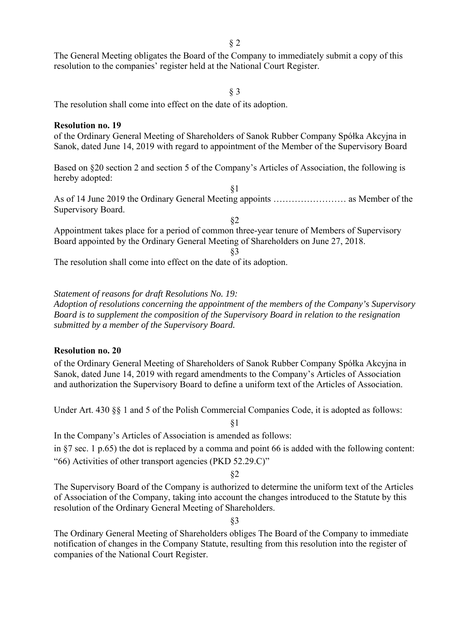§ 2

The General Meeting obligates the Board of the Company to immediately submit a copy of this resolution to the companies' register held at the National Court Register.

#### § 3

The resolution shall come into effect on the date of its adoption.

#### **Resolution no. 19**

of the Ordinary General Meeting of Shareholders of Sanok Rubber Company Spółka Akcyjna in Sanok, dated June 14, 2019 with regard to appointment of the Member of the Supervisory Board

Based on §20 section 2 and section 5 of the Company's Articles of Association, the following is hereby adopted:

§1 As of 14 June 2019 the Ordinary General Meeting appoints …………………… as Member of the Supervisory Board.

§2 Appointment takes place for a period of common three-year tenure of Members of Supervisory Board appointed by the Ordinary General Meeting of Shareholders on June 27, 2018.

§3

The resolution shall come into effect on the date of its adoption.

*Statement of reasons for draft Resolutions No. 19: Adoption of resolutions concerning the appointment of the members of the Company's Supervisory Board is to supplement the composition of the Supervisory Board in relation to the resignation submitted by a member of the Supervisory Board.* 

## **Resolution no. 20**

of the Ordinary General Meeting of Shareholders of Sanok Rubber Company Spółka Akcyjna in Sanok, dated June 14, 2019 with regard amendments to the Company's Articles of Association and authorization the Supervisory Board to define a uniform text of the Articles of Association.

Under Art. 430 §§ 1 and 5 of the Polish Commercial Companies Code, it is adopted as follows:

In the Company's Articles of Association is amended as follows:

in §7 sec. 1 p.65) the dot is replaced by a comma and point 66 is added with the following content: "66) Activities of other transport agencies (PKD 52.29.C)"

§1

§2

The Supervisory Board of the Company is authorized to determine the uniform text of the Articles of Association of the Company, taking into account the changes introduced to the Statute by this resolution of the Ordinary General Meeting of Shareholders.

§3

The Ordinary General Meeting of Shareholders obliges The Board of the Company to immediate notification of changes in the Company Statute, resulting from this resolution into the register of companies of the National Court Register.